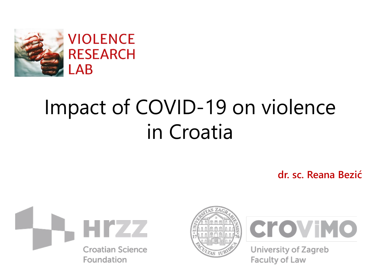

#### **VIOLENCE RESEARCH LAB**

# Impact of COVID-19 on violence in Croatia

**dr. sc. Reana Bezić**







University of Zagreb Faculty of Law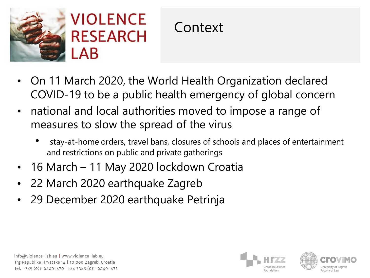



- On 11 March 2020, the World Health Organization declared COVID-19 to be a public health emergency of global concern
- national and local authorities moved to impose a range of measures to slow the spread of the virus
	- stay-at-home orders, travel bans, closures of schools and places of entertainment and restrictions on public and private gatherings
- 16 March 11 May 2020 lockdown Croatia
- 22 March 2020 earthquake Zagreb
- 29 December 2020 earthquake Petrinja





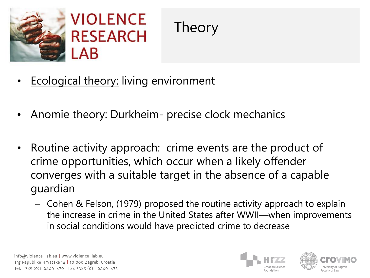



- **Ecological theory: living environment**
- Anomie theory: Durkheim- precise clock mechanics
- Routine activity approach: crime events are the product of crime opportunities, which occur when a likely offender converges with a suitable target in the absence of a capable guardian
	- Cohen & Felson, (1979) proposed the routine activity approach to explain the increase in crime in the United States after WWII—when improvements in social conditions would have predicted crime to decrease



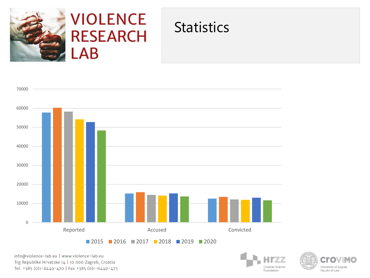

#### **VIOLENCE RESEARCH**  $\mathsf{LAB}$

#### **Statistics**





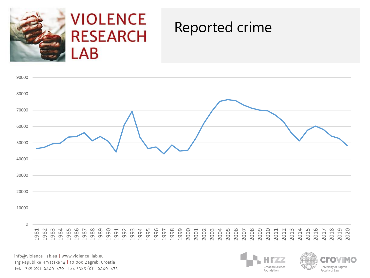

#### **VIOLENCE RESEARCH** .AB

#### Reported crime





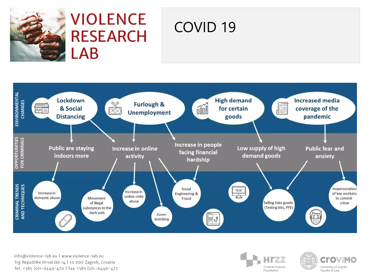

#### **VIOLENCE RESEARCH** LAB

## COVID 19





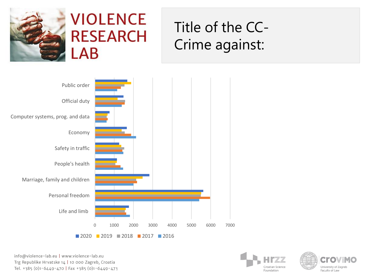

### **VIOLENCE RESEARCH** LAB

# Title of the CC-Crime against:





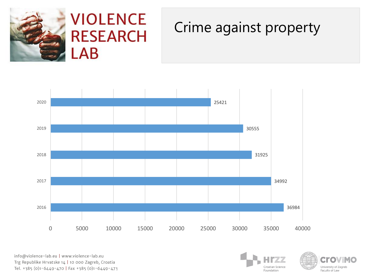



#### Crime against property





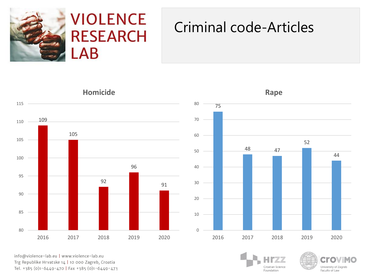

### **VIOLENCE RESEARCH**  $AB$

#### Criminal code-Articles



**Rape**



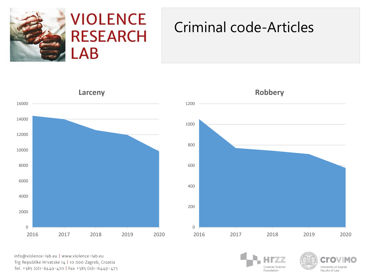

### **VIOLENCE RESEARCH**  $AB$

#### Criminal code-Articles





**Robbery**



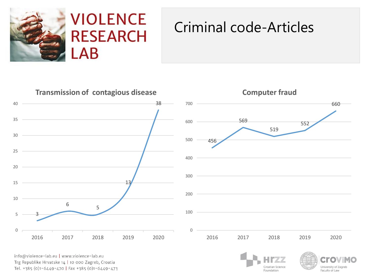

#### Criminal code-Articles



info@violence-lab.eu | www.violence-lab.eu Trg Republike Hrvatske 14 | 10 000 Zagreb, Croatia Tel. +385 (0)1-6449-470 | Fax +385 (0)1-6449-473 University of Zagreb Faculty of Law

Croatian Science

Foundation